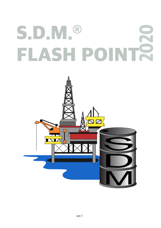# **S.D.M.® FLASH POINT 2020**

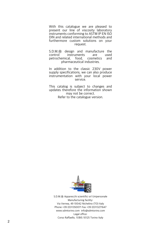With this catalogue we are pleased to present our line of viscosity laboratory instruments conforming to ASTM IP EN ISO DIN and related international methods and furthermore custom solutions on your request.

S.D.M.® design and manufacture the<br>control instruments are used instruments are used<br>cal. food. cosmetics and petrochemical, food. pharmaceutical industries.

In addition to the classic 230V power supply specifications, we can also produce instrumentation with your local power service.

This catalog is subject to changes and updates therefore the information shown may not be correct. Refer to the catalogue version.



S.D.M.® Apparecchi scientifici srl Unipersonale Manufacturing facility: Via Vernea, 49 10042 Nichelino (TO) Italy Phone +39 (0)11350071 Fax +39 (0)113271647 www.sdmtorino.com info@sdmtorino.com Legal office: Corso Raffaello, 11/BIS 10125 Torino Italy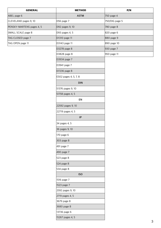| <b>GENERAL</b>            | <b>METHOD</b>              | P/N            |
|---------------------------|----------------------------|----------------|
| ABEL page 6               | <b>ASTM</b>                | 750 page 4     |
| CLEVELAND pages 9, 10     | D56 page 7                 | 750/DIG page 5 |
| PENSKY-MARTENS pages 4, 5 | D92 pages 9, 10            | 780 page 8     |
| SMALL SCALE page 8        | D93 pages 4, 5             | 820 page 6     |
| TAG CLOSED page 7         | D <sub>1310</sub> page 11  | 880 page 9     |
| TAG OPEN page 11          | D3143 page 11              | 890 page 10    |
|                           | D3278 page 8               | 930 page 7     |
|                           | D3828 page 8               | 950 page 11    |
|                           | D3934 page 7               |                |
|                           | D3941 page 7               |                |
|                           | D7236 page 8               |                |
|                           | E502 pages 4, 5, 7, 8      |                |
|                           | <b>DIN</b>                 |                |
|                           | 51376 pages 9, 10          |                |
|                           | 51758 pages 4, 5           |                |
|                           | EN                         |                |
|                           | 22592 pages 9, 10          |                |
|                           | 22719 pages 4, 5           |                |
|                           | $\ensuremath{\mathsf{IP}}$ |                |
|                           | 34 pages 4, 5              |                |
|                           | 36 pages 9, 10             |                |
|                           | 170 page 6                 |                |
|                           | 303 page 8                 |                |
|                           | 491 page 7                 |                |
|                           | 490 page 7                 |                |
|                           | 523 page 8                 |                |
|                           | 524 page 8                 |                |
|                           | 534 page 8                 |                |
|                           | <b>ISO</b>                 |                |
|                           | 1516 page 7                |                |
|                           | 1523 page 7                |                |
|                           | 2592 pages 9, 10           |                |
|                           | 2719 pages 4, 5            |                |
|                           | 3679 page 8                |                |
|                           | 3680 page 8                |                |
|                           | 13736 page 6               |                |
|                           | 15267 pages 4, 5           |                |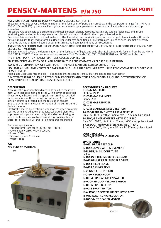## **PENSKY-MARTENS P/N 750 FLASH POINT**

### **ASTM D93 FLASH POINT BY PENSKY-MARTENS CLOSED CUP TESTER**

These test methods cover the determination of the flash point of petroleum products in the temperature range from 40 °C to 370 °C (104 to 698°F) by a manual Pensky-Martens closed-cup apparatus or an automated Pensky-Martens closed-cup apparatus.

Procedure A is applicable to distillate fuels (diesel, biodiesel blends, kerosine, heating oil, turbine fuels), new and in-use lubricating oils, and other homogeneous petroleum liquids not included in the scope of Procedure B.

Procedure B is applicable to residual fuel oils, cutback residua, used lubricating oils, mixtures of petroleum liquids with solids, petroleum liquids that tend to form a surface film under test conditions, or are petroleum liquids of such kinematic viscosity that they are not uniformly heated under the stirring and heating conditions of Procedure A.

### **ASTM E502 SELECTION AND USE OF ASTM STANDARDS FOR THE DETERMINATION OF FLASH POINT OF CHEMICALS BY CLOSED CUP METHODS**

This test method covers the determination of the flash point of liquid and solid chemical compounds flashing from below -10 to 370°C (16 to 700°F). The procedures and apparatus in Test Methods D56, D93, D3278, D3828, and D3941 are to be used.

**IP 34 FLASH POINT BY PENSKY-MARTENS CLOSED CUP TESTER**

**EN 22719 DETERMINATION OF FLASH POINT BY THE PENSKY-MARTENS CLOSED CUP METHOD ISO 2719 DETERMINATION OF FLASH POINT — PENSKY-MARTENS CLOSED CUP METHOD**

**ISO 15267 ANIMAL AND VEGETABLE FATS AND OILS — FLASHPOINT LIMIT TEST USING PENSKY-MARTENS CLOSED CUP FLASH TESTER**

Animal and vegetable fats and oils — Flashpoint limit test using Pensky-Martens closed cup flash tester.

**DIN 51758 TESTING OF LIQUID PETROLEUM PRODUCTS AND OTHER COMBUSTIBLE LIQUIDS; DETERMINATION OF FLASH POINT BY PENSKY-MARTENS CLOSED TESTER**

### **DESCRIPTION**

A brass test cup of specified dimensions, filled to the inside mark with test specimen and fitted with a cover of specified dimensions, is heated and the specimen stirred at specified rates, using one of three defined procedures (A, B, or C). An ignition source is directed into the test cup at regular intervals with simultaneous interruption of the stirring, until a flash is detected.

Electrically heated by electronic regulator, mounted on a case painted with antacid epoxy products. Calibrated brass test cup, cover with gas and electric ignition device allowing to ignite the testing sample by a manual trip-opening. Motor stirrer for procedure "A" and "B", air bath and cooling fan.

Technical specifications:

- Temperature: from 40 to 360°C (104 +680°F)

- Power supply: 230V ±10% 50/60Hz
- Power: 700W
- Dimensions: 40x33x52 cm
- Weight: 11 kg

**P/N**



### **ACCESSORIES ON REQUEST**

**10-0747 GAS TUBE** For LPG, l=5 m **10-0748 GAS CYLINDER** Empty, 2 kg **10-0749 GAS REDUCER** 30 mbar

**10-0751 STAINLESS STEEL TEST CUP T-AS9C/B THERMOMETER ASTM 9C IP 15C** Scale -5 +110°C, div.0,5°, imm.57 mm, l=295 mm, blue liquid

**T-AS10C/G THERMOMETER ASTM 10C IP 16C** Scale 90 +370°C, div.2°, imm.57 mm, l=290 mm, gallium liquid **T-AS88C/G THERMOMETER ASTM 88C IP 101C** Scale 10 +200°C, div.1°, imm.57 mm, l=287 mm, gallium liquid

### **CONSUMABLES**

**15-CAN/IE ELECTRIC IGNITION**

#### **SPARE PARTS 15-0751 BRASS TEST CUP**

**15-0752 COVER WITH MOVEMENT 15-TUBSIL/24 SILICONE TUBE**  $L=3$  m **15-0753/CT THERMOMETER COLLAR 15-0753/FM STIRRER FLEXIBLE DRIVE 15-0754 PILOT FLAME 15-0755 GAS IGNITION 15-VEN120 COOLING FAN 11-0750 HEATER 600W 15-0004 BIPOLAR GREEN SWITCH 15-0005 BIPOLAR YELLOW SWITCH 15-0006 PUSH BUTTON 15-0012 3-WAY SWITCH 15-ALIM60/12 POWER SUPPLY 12VDC 60W 15-0110 ELECTRONIC REGULATOR 12-0750/MOT GEARED MOTOR**

10-0751

4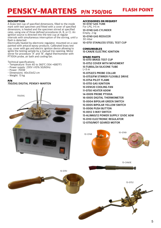## **PENSKY-MARTENS P/N 750/DIG FLASH POINT**

### **DESCRIPTION**

A brass test cup of specified dimensions, filled to the inside mark with test specimen and fitted with a cover of specified dimensions, is heated and the specimen stirred at specified rates, using one of three defined procedures (A, B, or C). An ignition source is directed into the test cup at regular intervals with simultaneous interruption of the stirring, until a flash is detected.

Electrically heated by electronic regulator, mounted on a case painted with antacid epoxy products. Calibrated brass test cup, cover with gas and electric ignition device allowing to ignite the testing sample by a manual trip-opening. Motor stirrer for procedure "A" and "B", digital thermometer with PT100A probe, air bath and cooling fan.

### Technical specifications:

- Temperature: from 40 to 360°C (104 +680°F)
- Power supply: 230V ±10% 50/60Hz
- Power: 700W
- Dimensions: 40x33x52 cm
- Weight: 13 kg

### **P/N**

### **750/DIG DIGITAL PENSKY-MARTEN**



### **ACCESSORIES ON REQUEST**

**10-0747 GAS TUBE** For LPG, l=5 m **10-0748 GAS CYLINDER** Empty, 2 kg **10-0749 GAS REDUCER** 30 mbar **10-0751 STAINLESS STEEL TEST CUP**

### **CONSUMABLES**

**15-CAN/IE ELECTRIC IGNITION**

**SPARE PARTS 15-0751 BRASS TEST CUP 15-0752 COVER WITH MOVEMENT 15-TUBSIL/24 SILICONE TUBE**  $L=3$  m **15-0753/CS PROBE COLLAR 15-0753/FM STIRRER FLEXIBLE DRIVE 15-0754 PILOT FLAME 15-0755 GAS IGNITION 15-VEN120 COOLING FAN 11-0750 HEATER 600W 14-0009 PROBE PT100A 16-0005 DIGITAL THERMOMETER 15-0004 BIPOLAR GREEN SWITCH 15-0005 BIPOLAR YELLOW SWITCH 15-0006 PUSH BUTTON 15-0012 3-WAY SWITCH 15-ALIM60/12 POWER SUPPLY 12VDC 60W 15-0110 ELECTRONIC REGULATOR 12-0750/MOT GEARED MOTOR**



15-0751 15-0752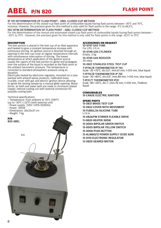### **ABEL P/N 820 FLASH POINT**

### **IP 170 DETERMINATION OF FLASH POINT - ABEL CLOSED-CUP METHOD**

For the determination of the closed-cup flash point of combustible liquids having flash points between -30°C and 70°C, inclusive. However, the precision given for this method is only valid for flash points in the range -5°C to 66,5°C.

### **ISO 13736 DETERMINATION OF FLASH POINT - ABEL CLOSED-CUP METHOD**

For the determination of the manual and automated closed-cup flash point of combustible liquids having flash points between - -30°C to 75°C . However, the precision given for this method is only valid for flash points in the range -8,5°C to 75°C

### **DESCRIPTION**

The test portion is placed in the test cup of an Abel apparatus and heated to give a constant temperature increase with continuous stirring. An ignition source is directed through an opening in the test cup cover at regular temperature intervals with simultaneous interruption of stirring. The lowest temperature at which application of the ignition source causes the vapors of the test portion to ignite and propagate over the surface of the liquid is recorded as the flash point at the ambient barometric pressure. The temperature is corrected to standard atmospheric pressure using an equation.

Electrically heated by electronic regulator, mounted on a case painted with antacid epoxy products. Calibrated brass crucible, cover with gas and electric ignition device allowing to ignite the testing sample by a manual glide-opening. Motor stirrer, air bath and water bath are made in chromium-plated copper, internal cooling coil with external connection for possible cooling bath.

Technical specifications:

- Temperature: from ambient to 70°C (158°F) (up to -30°C (-22°F) (with external unit)

- Power supply: 230V ±10% 50/60Hz
- Power: 300W
- 
- Dimensions: 26x32x37 cm
- Weight: 7 kg



### **ACCESSORIES ON REQUEST**

**10-0747 GAS TUBE** For LPG, l=5 m **10-0748 GAS CYLINDER** Empty, 2 kg **10-0749 GAS REDUCER** 30 mbar

**10-0821 STAINLESS STEEL TEST CUP T-IP74C/B THERMOMETER IP 74C**

Scale -35 +70°C, div.0,5°, imm.61 mm, l=310 mm, blue liquid **T-IP75C/B THERMOMETER IP 75C**

Scale -30 +80°C, div.0,5°, imm.89 mm, l=310 mm, blue liquid **T-IP2C/T THERMOMETER IP2C**

Scale -80 +20°C, div.1°, imm.76 mm, l=230 mm, Thallium liquid

### **CONSUMABLES**

**15-CAN/IE ELECTRIC IGNITION**

### **SPARE PARTS**

**15-0821 BRASS TEST CUP 15-0822 COVER WITH MOVEMENT 15-TUBSIL/24 SILICONE TUBE**  $L=3$  m **15-0824/FM STIRRER FLEXIBLE DRIVE 11-0820 HEATER 300W 15-0004 BIPOLAR GREEN SWITCH 15-0005 BIPOLAR YELLOW SWITCH 15-0006 PUSH BUTTON 15-ALIM60/12 POWER SUPPLY 12VDC 60W 15-0110 ELECTRONIC REGULATOR 12-0820 GEARED MOTOR**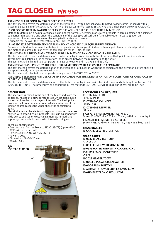## **TAG CLOSED P/N 950 FLASH POINT**

### **ASTM D56 FLASH POINT BY TAG CLOSED CUP TESTER**

This test method covers the determination of the flash point, by tag manual and automated closed testers, of liquids with a viscosity below 5.5 mm<sup>2</sup>/s (cSt) at 40°C (104°F), or below 9.5 mm<sup>2</sup>/s (cSt) at 25°C (77°F), and a flash point below 93°C (200°F).

### **IP 491 ISO 1516 DETERMINATION OF FLASH/NO FLASH - CLOSED CUP EQUILIBRIUM METHOD**

Method to determine if paints, varnishes, paint binders, solvents, petroleum or related products, when maintained at a selected equilibrium temperature and under the conditions of the test, give off sufficient flammable vapor to cause ignition on application of an external source of flame applied in a standard manner.

Is suitable for use over the temperature range -30°C to 110°C.

### **IP 492 ISO 1523 DETERMINATION OF FLASH POINT - CLOSED CUP EQUILIBRIUM METHOD**

Defines a method to determine the flash point of paints, varnishes, paint binders, solvents, petroleum or related products. The method is suitable for use over the temperature range - 30°C to 110°C

### **ASTM D3934 FLASH/NO FLASH TEST-EQUILIBRIUM METHOD BY A CLOSED-CUP APPARATUS**

This test method covers the determination of whether a liquid complies with the closed-cup flash point requirements in government regulations, or in specifications, or as agreed between the purchaser and the seller. This test method is limited to a temperature range between 0 and 110°C (32 and 230°F).

**ASTM D3941 FLASH POINT BY THE EQUILIBRIUM METHOD WITH A CLOSED-CUP APPARATUS**

#### This test method covers the determination of the flash point of liquids in which the specimen and the air/vapor mixture above it are approximately in temperature equilibrium.

This test method is limited to a temperature range from 0 to 110°C (32 to 230°F).

#### **ASTM E502 SELECTION AND USE OF ASTM STANDARDS FOR THE DETERMINATION OF FLASH POINT OF CHEMICALS BY CLOSED CUP METHODS**

This test method covers the determination of the flash point of liquid and solid chemical compounds flashing from below -10 to 370°C (16 to 700°F). The procedures and apparatus in Test Methods D56, D93, D3278, D3828, and D3941 are to be used.

### **DESCRIPTION**

The specimen is placed in the cup of the tester and, with the lid closed, heated at a slow constant rate. An ignition source is directed into the cup at regular intervals. The flash point is taken as the lowest temperature at which application of the ignition source causes the vapor above the specimen to ignite.

Electrically heated by electronic regulator, mounted on a case painted with antacid epoxy products. Test cup equipped with glide device and gas or electrical ignition. Water bath and support-jacket made in brass. With internal cooling coil.

Technical specifications:

- Temperature: from ambient to 110°C (230°F) (up to -30°C

- (-22°F) with external unit)
- Power supply: 230V ±10% 50/60Hz
- Power: 700W
- Dimensions: 18x20x20 cm
- Weight: 6 kg

**P/N**



### **ACCESSORIES ON REQUEST**

**10-0747 GAS TUBE** For LPG, l=5 m **10-0748 GAS CYLINDER** Empty, 2 kg **10-0749 GAS REDUCER** 30 mbar

**T-AS57C/B THERMOMETER ASTM 57C** Scale -20 +50°C, div.0,5°, imm.57 mm, l=292 mm, blue liquid **T-AS9C/B THERMOMETER ASTM 9C** Scale -5 +110°C, div.0,5°, imm.57 mm, l=295 mm, blue liquid

### **CONSUMABLES**

**15-CAN/IE ELECTRIC IGNITION**

### **SPARE PARTS**

**15-0932 BRASS TEST CUP** Pack of 2 pcs **15-0933 COVER WITH MOVEMENT 15-0935 WATER BATH WITH COOLING COIL 15-TUBSIL/24 SILICONE TUBE**  $L=3$  m **11-0022 HEATER 700W 15-0004 BIPOLAR GREEN SWITCH 15-0006 PUSH BUTTON 15-ALIM60/12 POWER SUPPLY 12VDC 60W 15-0110 ELECTRONIC REGULATOR**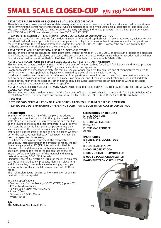## **SMALL SCALE CLOSED-CUP P/N 780 FLASH POINT**

### **ASTM D3278 FLASH POINT OF LIQUIDS BY SMALL SCALE CLOSED-CUP**

These test methods cover procedures for determining whether a material does or does not flash at a specified temperature or for determining the lowest finite temperature at which a material does flash when using a small scale closed- cup apparatus. The test methods are applicable to paints, enamels, lacquers, varnishes, and related products having a flash point between 0 and 110°C (32 and 230°F) and viscosity lower than 150 St at 25°C (77°F).

### **IP 534 DETERMINATION OF FLASH POINT - SMALL SCALE CLOSED CUP RAMP METHOD**

This standard specifies a test method for the determination of the closed cup flash point of solvents, kerosine, aviation turbine fuel, diesel fuel and related products that are homogeneous and liquid at or near ambient temperature and at temperatures required to perform the test, having flash points within the range of -20°C to 300°C. However the precision given by this method is only valid for flash points in the range 40°C to 135°C.

### **ASTM D3828 FLASH POINT BY SMALL SCALE CLOSED CUP TESTER**

This test method cover procedures for flash point tests, within the range of -30 to 300°C, of petroleum products and biodiesel liquid fuels, using a small scale closed cup tester. The procedures may be used to determine, whether a product will or will not flash at a specified temperature (flash/no flash Method A) or the flash point of a sample (Method B).

### **ASTM D7236 FLASH POINT BY SMALL SCALE CLOSED CUP TESTER (RAMP METHOD)**

This test method covers the determination of the flash point of aviation turbine fuel, diesel fuel, kerosine and related products in the temperature range of 40 to 135°C by a small scale closed cup apparatus.

Is only applicable to homogeneous materials that are liquid at or near ambient temperature and at temperatures required to perform the test. Is not applicable to liquids contaminated by traces of highly volatile materials.

Is a dynamic method and depends on a definite rate of temperature increase. It is one of many flash point methods available, and every flash point test method, including this one, is an empirical one. If the user's specification requires a defined flash point method, neither this test nor any other method should be substituted for the prescribed method without obtaining comparative data and an agreement from the specifier.

#### **ASTM E502 SELECTION AND USE OF ASTM STANDARDS FOR THE DETERMINATION OF FLASH POINT OF CHEMICALS BY CLOSED CUP METHODS**

This test method covers the determination of the flash point of liquid and solid chemical compounds flashing from below -10 to 370°C (16 to 700°F). The procedures and apparatus in Test Methods D56, D93, D3278, D3828, and D3941 are to be used. **IP 303 (obs)**

### **IP 523 ISO 3679 DETERMINATION OF FLASH POINT - RAPID EQUILIBRIUM CLOSED CUP METHOD IP 524 ISO 3680 DETERMINATION OF FLASH/NO FLASH - RAPID EQUILIBRIUM CLOSED CUP METHOD**

### **DESCRIPTION**

By means of a syringe, 2 mL of the sample is introduced through a leakproof entry port into the tightly closed small scale closed-cup apparatus or directly into the cup that has been brought to the required test temperature. As a flash/no flash test, the expected flash point temperature may be a specification or other operating requirement. After 1 min, a test flame is applied inside the cup and note is taken whether or not the test specimen flashes. A fresh specimen must be used if a repeat test is necessary.

For a finite flash point measurement, the temperature is sequentially increased through the anticipated range, the test flame being applied at 5°C (9°F) intervals until a flash is observed. A true determination is then made using a fresh specimen, starting the test at the temperature of the last interval before the flash point of the material and making tests at increasing 0.5°C (1°F) intervals.

Electrically heated by electronic regulator, mounted on a case painted with antacid epoxy products. Aluminum block for 2 and 4 ml samples, cover with manual opening system, gas ignition with pilot flame, digital thermometer with PT100A probe.

Thermal insulating with cooling coil for circulation of cooling fluid with optional cryostat.

Technical specifications:

- Temperature: from ambient yo 300°C (572°F) (up to -10°C (14°F) with external unit)

- Power supply: 230V ±10% 50/60Hz
- Power: 700W
- Dimensions: 29x33x30 cm
- Weight: 10 Kg

### **P/N 780 SMALL SCALE FLASH POINT**

### **ACCESSORIES ON REQUEST**

**10-0747 GAS TUBE** For LPG, l=5 m **10-0748 GAS CYLINDER** Empty, 2 kg **10-0749 GAS REDUCER** 30 mbar

### **SPARE PARTS**

**15-TUBSIL/24 SILICONE TUBE**  $L=3$  m **11-0022 HEATER 700W 14-0001 PROBE PT100A 16-0005 DIGITAL THERMOMETER 15-0004 BIPOLAR GREEN SWITCH 15-0110 ELECTRONIC REGULATOR**

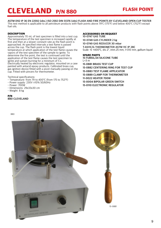## **CLEVELAND P/N 880 FLASH POINT**

**ASTM D92 IP 36 EN 22592 (obs.) ISO 2592 DIN 51376 (obs) FLASH AND FIRE POINTS BY CLEVELAND OPEN CUP TESTER** This test method is applicable to all petroleum products with flash points above 79°C (175°F) and below 400°C (752°F) except fuel oils.

### **DESCRIPTION**

Approximately 70 mL of test specimen is filled into a test cup. The temperature of the test specimen is increased rapidly at first and then at a slower constant rate as the flash point is approached. At specified intervals a test flame is passed across the cup. The flash point is the lowest liquid temperature at which application of the test flame causes the vapors of the test specimen of the sample to ignite. To determine the fire point, the test is continued until the application of the test flame causes the test specimen to ignite and sustain burning for a minimum of 5 s. Electrically heated by electronic regulator, mounted on a case painted with antacid epoxy products. Calibrated brass cup, gas ignition device fitted with a pivot manually passing on the cup. Fitted with pincers for thermometer.

Technical specifications:

- Temperature: from 79 to 400°C (from 175 to 752°F)
- Power supply: 230V ±10% 50/60Hz
- Power: 700W
- Dimensions: 29x33x30 cm
- Weight: 8 kg

### **P/N 880 CLEVELAND**

#### **ACCESSORIES ON REQUEST 10-0747 GAS TUBE**

**10-0748 GAS CYLINDER 2 kg 10-0749 GAS REDUCER 30 mbar T-AS11C/G THERMOMETER ASTM 11C IP 28C** Scale -6 +400°C, div.2°, imm.25 mm, l=310 mm, gallium liquid

### **SPARE PARTS**

**15-TUBSIL/24 SILICONE TUBE**  $L=3$  m **15-0881 BRASS TEST CUP 15-0882 CENTERING RING FOR TEST CUP 15-0883 TEST FLAME APPLICATOR 15-0889 CLAMP FOR THERMOMETER 11-0022 HEATER 700W 15-0004 BIPOLAR GREEN SWITCH 15-0110 ELECTRONIC REGULATOR**

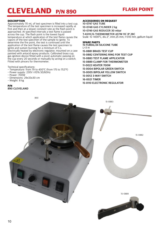### <span id="page-9-0"></span>**CLEVELAND P/N 890 FLASH POINT**

### **DESCRIPTION**

Approximately 70 mL of test specimen is filled into a test cup. The temperature of the test specimen is increased rapidly at first and then at a slower constant rate as the flash point is approached. At specified intervals a test flame is passed across the cup. The flash point is the lowest liquid temperature at which application of the test flame causes the vapors of the test specimen of the sample to ignite. To determine the fire point, the test is continued until the application of the test flame causes the test specimen to ignite and sustain burning for a minimum of 5 s. Electrically heated by electronic regulator, mounted on a case painted with antacid epoxy products. Calibrated brass cup, gas ignition device fitted with a pivot automatic passing on the cup every 20 seconds or manually by acting on a switch. Fitted with pincers for thermometer.

Technical specifications:

- Temperature: from 79 to 400°C (from 175 to 752°F)
- Power supply: 230V ±10% 50/60Hz
- Power: 700W
- Dimensions: 29x33x30 cm
- Weight: 8 kg

### **P/N 890 CLEVELAND**

### **ACCESSORIES ON REQUEST**

**10-0747 GAS TUBE 10-0748 GAS CYLINDER 2 kg 10-0749 GAS REDUCER 30 mbar T-AS11C/G THERMOMETER ASTM 11C IP 28C** Scale -6 +400°C, div.2°, imm.25 mm, l=310 mm, gallium liquid

### **SPARE PARTS**

**15-TUBSIL/24 SILICONE TUBE**  $L=3$  m **15-0881 BRASS TEST CUP 15-0882 CENTERING RING FOR TEST CUP 15-0883 TEST FLAME APPLICATOR 15-0889 CLAMP FOR THERMOMETER 11-0022 HEATER 700W 15-0004 BIPOLAR GREEN SWITCH 15-0005 BIPOLAR YELLOW SWITCH 15-0012 3-WAY SWITCH 16-0021 TIMER 15-0110 ELECTRONIC REGULATOR**